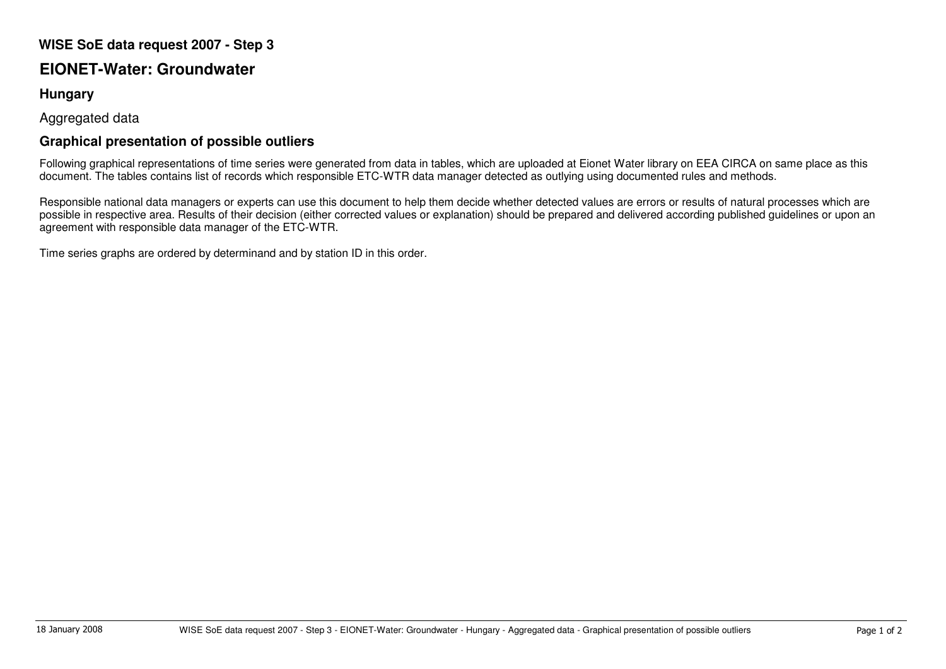## **WISE SoE data request 2007 - Step 3**

## **EIONET-Water: Groundwater**

## **Hungary**

Aggregated data

## **Graphical presentation of possible outliers**

Following graphical representations of time series were generated from data in tables, which are uploaded at Eionet Water library on EEA CIRCA on same place as this document. The tables contains list of records which responsible ETC-WTR data manager detected as outlying using documented rules and methods.

Responsible national data managers or experts can use this document to help them decide whether detected values are errors or results of natural processes which are possible in respective area. Results of their decision (either corrected values or explanation) should be prepared and delivered according published guidelines or upon an agreement with responsible data manager of the ETC-WTR.

Time series graphs are ordered by determinand and by station ID in this order.